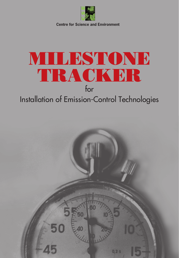

**Centre for Science and Environment**

# MILESTONE TRACKER for

# Installation of Emission-Control Technologies

OF E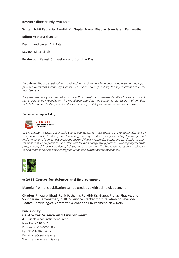#### **Research director:** Priyavrat Bhati

**Writer:** Rohit Pathania, Randhir Kr. Gupta, Pranav Phadke, Soundaram Ramanathan

**Editor:** Archana Shankar

**Design and cover:** Ajit Bajaj

**Layout:** Kirpal Singh

#### **Production:** Rakesh Shrivastava and Gundhar Das

**Disclaimer:** *The analysis/timelines mentioned in this document have been made based on the inputs provided by various technology suppliers. CSE claims no responsibility for any discrepancies in the reported data.*

*Also, the views/analysis expressed in this report/document do not necessarily reflect the views of Shakti Sustainable Energy Foundation. The Foundation also does not guarantee the accuracy of any data included in this publication, nor does it accept any responsibility for the consequences of its use.*

#### An initiative supported by



*CSE is grateful to Shakti Sustainable Energy Foundation for their support. Shakti Sustainable Energy*  Foundation works to strengthen the energy security of the country by aiding the design and *implementation of policies that encourage energy efficiency, renewable energy and sustainable transport solutions, with an emphasis on sub sectors with the most energy saving potential. Working together with policy makers, civil society, academia, industry and other partners, The Foundation takes concerted action to help chart out a sustainable energy future for India (www.shaktifoundation.in).*



#### © 2018 Centre for Science and Environment

Material from this publication can be used, but with acknowledgement.

**Citation**: Priyavrat Bhati, Rohit Pathania, Randhir Kr. Gupta, Pranav Phadke, and Soundaram Ramanathan, 2018, *Milestone Tracker for Installation of Emission-Control Technologies*, Centre for Science and Environment, New Delhi.

#### Published by Centre for Science and Environment

41, Tughlakabad Institutional Area New Delhi 110 062 Phones: 91-11-40616000 Fax: 91-11-29955879 E-mail: cse@cseindia.org Website: www.cseindia.org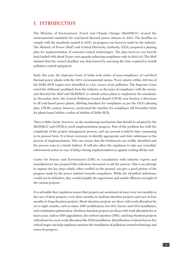### 1. INTRODUCTION

The Ministry of Environment, Forest and Climate Change (MoEF&CC) revised the environmental standards for coal-based thermal power stations in 2015. The deadline to comply with the standards expired in 2017; no progress was however made by the industry. The Ministry of Power (MoP) and Central Electricity Authority (CEA) prepared a phasing plan for implementation of emission control technologies. The plan however was heavily back loaded with about 70 per cent capacity achieving compliance only in 2021-22. The MoP claimed that the revised deadline was determined by assessing the time required to install pollution control equipment.

Early this year, the Supreme Court of India took notice of non-compliance of coal-fired thermal power plants with the 2015 environmental norms. Power plants within 300 km of the Delhi-NCR region were identified as a key source of air pollution. The Supreme Court noted the deliberate pushback from the industry on the issue of compliance with the norms, and directed the MoP and MoEF&CC to submit action plans to implement the standards. In December 2017, the Central Pollution Control Board (CPCB) sent Section 5 directions to all coal-based power plants, allotting timelines for compliance as per the CEA's phasing plan. CPCB's notices, however, accelerated the timeline for compliance till December 2019 for plants based within a radius of 300km of Delhi-NCR.

There is little clarity, however, on the monitoring mechanism that should be adopted by the MoEF&CC and CPCB to track implementation progress. Part of the problem lies with the complexity of the project management process, and any perusal would be time consuming in its present form. It is hence necessary to identify appropriate and clear milestones in the process of implementation. This can ensure that the bottlenecks are swiftly identified and the process runs in a timely fashion. It will also allow the regulators to take any remedial/ enforcement action in case of delays during implementation as against waiting till the end.

Centre for Science and Environment (CSE) in consultation with industry experts and manufacturers has prepared this milestone document to aid the process. This is an attempt to capture the key steps which, when verified on the ground, can give a good picture of the progress made by the power stations towards compliance. While the identified milestones would not be definitive, they would simplify the supervision and enable efficient oversight of the various projects.

It is advisable that regulators ensure that projects are monitored at least every two months in the case of short projects, every three months in medium-duration projects and once in four months in long-duration projects. Short-duration projects are those with work allocation for six to eight months, such as minor ESP modification, low-NO<sub>x</sub> burner and OFA installation, and combustion optimization. Medium-duration projects are those with work allocation for at least a year, such as ESP upgradation, dry sorbent injection (DSI); and long-duration projects with about two years work allocation like FGD installation. Identification of about four to five critical stages can help regulators monitor the installation of pollution-control technology and assess its progress.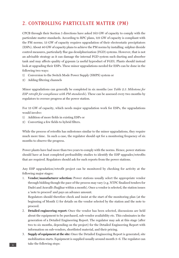## 2. CONTROLLING PARTICULATE MATTER (PM)

CPCB through their Section 5 directions have asked 163 GW of capacity to comply with the particulate matter standards. According to RPC plans, 121 GW of capacity is compliant with the PM norms; 13 GW of capacity requires upgradation of their electrostatic precipitators (ESPs). About 40 GW of capacity plans to achieve the PM norms by installing sulphur dioxide control measures, particularly flue gas desulphurization (FGD) systems. However, that is not an advisable strategy as it can damage the internal FGD system such ducting and absorber tank and may affects quality of gypsum (a useful byproduct of FGD). Plants should instead look at upgrading their ESPs. These minor upgradations needed for ESPs can be done in the following two ways:

- 1) Conversion to the Switch Mode Power Supply (SMPS) system or
- 2) Adding filtering channels

Minor upgradations can generally be completed in six months (see *Table 2.1: Milestone for ESP retrofit for compliance with PM standards*). These can be assessed every two months by regulators to oversee progress at the power station.

For 13 GW of capacity, which needs major upgradation work for ESPs, the upgradations would involve:

- 1) Addition of more fields in existing ESPs or
- 2) Converting a few fields to hybrid filters.

While the process of retrofits has milestones similar to the minor upgradations, they require much more time. In such a case, the regulator should opt for a monitoring frequency of six months to observe the progress.

Power plants have had more than two years to comply with the norms. Hence, power stations should have at least completed prefeasibility studies to identify the ESP upgrades/retrofits that are required. Regulators should ask for such reports from the power stations.

Any ESP upgradation/retrofit project can be monitored by checking for activity at the following major stages:

1. **Vendor/manufacturer selection:** Power stations usually select the appropriate vendor through bidding though the pace of the process may vary (e.g. NTPC finalized tenders for Dadri and Aravalli-Jhajjhar within a month). Once a vendor is selected, the station issues a 'note to proceed' and pays an advance amount.

Regulators should therefore check and insist at the start of the monitoring plan (at the beginning of Month 1) for details on the vendor selected by the station and the note to proceed.

- 2. **Detailed engineering report:** Once the vendor has been selected, discussions are held about the equipment to be purchased, sub-vendor availability etc. This culminates in the generation of a Detailed Engineering Report. The regulator may ask at this stage (after two to six months, depending on the project) for the Detailed Engineering Report with information on sub-vendors, shortlisted material, and their pricing.
- 3. **Supply of equipment at the site:** Once the Detailed Engineering Report is generated, site mobilization starts. Equipment is supplied usually around month 3–6. The regulator can take the following steps: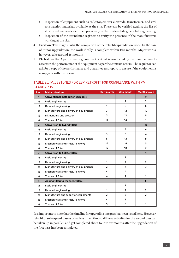- Inspection of equipment such as collector/emitter electrode, transformer, and civil construction materials available at the site. These can be verified against the list of shortlisted materials identified previously in the pre-feasibility/detailed engineering.
- Inspection of the attendance registers to verify the presence of the manufacturers working at the site.
- 4. **Erection:** This stage marks the completion of the retrofit/upgradation work. In the case of minor upgradation, the work ideally is complete within two months. Major works, however, take around 18 months.
- 5. **PG test results:** A performance guarantee (PG) test is conducted by the manufacturer to ascertain the performance of the equipment as per the contract orders. The regulator can ask for a copy of the performance and guarantee test report to ensure if the equipment is complying with the norms.

#### TABLE 2.1: MILESTONES FOR ESP RETROFIT FOR COMPLIANCE WITH PM **STANDARDS**

| S. no.                  | <b>Major milestone</b>                 | <b>Start month</b> | <b>Stop month</b> | <b>Months taken</b> |
|-------------------------|----------------------------------------|--------------------|-------------------|---------------------|
| $\mathbf{1}$            | Conventional method for each pass      |                    |                   | 14                  |
| a)                      | <b>Basic engineering</b>               | $\mathbf{1}$       | $\overline{2}$    | $\overline{2}$      |
| b)                      | Detailed engineering                   | 1                  | 6                 | 6                   |
| c)                      | Manufacture and delivery of equipments | 3                  | 12                | 10                  |
| d)                      | Dismantling and erection               | 5                  | 13                | 9                   |
| e)                      | Trial and PG test                      | 14                 | 14                | 1                   |
| $\overline{2}$          | <b>Conversion to hybrid filters</b>    |                    |                   | 18                  |
| a)                      | <b>Basic engineering</b>               | 1                  | 4                 | 4                   |
| b)                      | Detailed engineering                   | $\overline{3}$     | 6                 | 4                   |
| $\mathsf{c}$            | Manufacture and delivery of equipments | 5                  | 13                | 9                   |
| d)                      | Erection (civil and structural work)   | 12                 | 16                | 5                   |
| e)                      | Trial and PG test                      | 17                 | 18                | $\overline{2}$      |
| $\overline{\mathbf{3}}$ | <b>Conversion to SMPS system</b>       |                    |                   | 4                   |
| a)                      | <b>Basic engineering</b>               | 1                  | 1                 | 1                   |
| b)                      | Detailed engineering                   | 1                  | $\overline{2}$    | $\overline{2}$      |
| c)                      | Manufacture and delivery of equipments | $\overline{2}$     | 4                 | 3                   |
| d)                      | Erection (civil and structural work)   | 4                  | 4                 | 1                   |
| e)                      | Trial and PG test                      | 4                  | 4                 | 1                   |
| $\overline{\mathbf{4}}$ | Adding filtering channel system        |                    |                   | 5                   |
| a)                      | <b>Basic engineering</b>               | 1                  | 1                 | 1                   |
| b)                      | Detailed engineering                   | 1                  | $\overline{2}$    | $\overline{2}$      |
| c)                      | Manufacture and supply of equipments   | $\overline{2}$     | 3                 | $\overline{2}$      |
| d)                      | Erection (civil and structural work)   | 4                  | 5                 | $\overline{2}$      |
| e)                      | Trial and PG test                      | 5                  | 5                 | 1                   |

It is important to note that the timeline for upgrading one pass has been listed here. However, retrofit of subsequent passes takes less time. Almost all these activities for the second pass can be taken up in parallel, and get completed about four to six months after the upgradation of the first pass has been completed.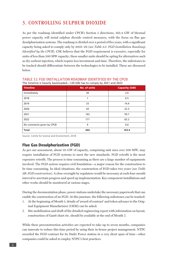# 3. CONTROLLING SULPHUR DIOXIDE

As per the roadmap identified under CPCB's Section 5 directions, 163.4 GW of thermal power capacity will instal sulphur dioxide control measures, with the focus on flue gas desulphurization systems. The roadmap is divided over a period of five years, with a significant capacity being asked to comply only by 2021–22 (see *Table 3.1: FGD Installation Roadmap Identified by the CPCB*). CSE believes that the FGD requirement is excessive, especially for units of less than 500 MW capacity; these smaller units should be opting for alternatives such as dry sorbent injection, which require less investment and time. Therefore, the milestones to be tracked should differentiate between the technologies to be installed. These are discussed below.

|                           | .                   |                      |
|---------------------------|---------------------|----------------------|
| <b>Timeline</b>           | <b>No. of units</b> | <b>Capacity (GW)</b> |
| Immediately               | 30                  | 3.6                  |
| 2018                      | 1                   | 0.5                  |
| 2019                      | 33                  | 14.4                 |
| 2020                      | 43                  | 22.3                 |
| 2021                      | 162                 | 59.7                 |
| 2022                      | 171                 | 62.2                 |
| No comments given by CPCB | $\overline{4}$      | 0.6                  |
| <b>Total</b>              | 444                 | 163.4                |

#### TABLE 3.1: FGD INSTALLATION ROADMAP IDENTIFIED BY THE CPCB The timeline is heavily backloaded—120 GW has to comply by 2021 and 2022

Source: Centre for Science and Environment, 2018

#### Flue Gas Desulphurization (FGD)

As per our assessment, about 111 GW of capacity, comprising unit sizes over 500 MW, may require installation of FGD systems to meet the new standards. FGD retrofit is the most expensive retrofit. The process is time consuming as there are a large number of equipments involved. The FGD system requires civil foundation—a major reason for the construction to be time consuming. In ideal situations, the construction of FGD takes two years (see *Table 3B: FGD construction*). A close oversight by regulators would be necessary at each four-month interval to ascertain progress and speed up implementation. Key component installations and other works should be monitored at various stages.

During the documentation phase, power stations undertake the necessary paperwork that can enable the construction of an FGD. At this juncture, the following milestones can be tracked:

- 1. At the beginning of Month 1, details of 'award of contract' and token advance to the Original Equipment Manufacturer (OEM) can be asked.
- 2. Site mobilization and draft of the detailed engineering report with information on layout, construction of Gantt chart etc. should be available at the end of Month 7.

While these preconstruction activities are expected to take up to seven months, companies can innovate to reduce this time period by using their in-house project management. NTPC awarded the FGD contract for its Dadri Power station in a very short span of time—other companies could be asked to employ NTPC's best practices.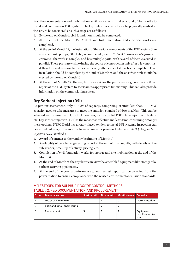Post the documentation and mobilization, civil work starts. It takes a total of 24 months to instal and commission FGD system. The key milestones, which can be physically verified at the site, to be considered at such a stage are as follows:

- 1. By the end of Month 6, civil foundation should be completed.
- 2. At the end of the Month 15, Control and Instrumentation and electrical works are completed.
- 3. At the end of Month 17, the installation of the various components of the FGD system (like absorber tank, pumps, GGH etc.) is completed (refer to *Table 3.3: Breakup of equipment erection*). The work is complex and has multiple parts, with several of them executed in parallel. These parts are visible during the course of construction only after a few months; it therefore makes sense to oversee work only after some of it has been completed. Duct installation should be complete by the end of Month 9, and the absorber tank should be erected by the end of Month 15.
- 4. At the end of Month 24, the regulator can ask for the performance guarantee (PG) test report of the FGD system to ascertain its appropriate functioning. This can also provide information on the commissioning status.

#### Dry Sorbent Injection (DSI)

As per our assessment, only 49 GW of capacity, comprising of units less than 500 MW capacity, need to take measures to meet the emission standard of 600 mg/ $Nm<sup>3</sup>$ . This can be achieved with alternative SO<sub>2</sub> control measures, such as partial FGDs, lime injection in boilers, etc. Dry sorbent injection (DSI) is the most cost-effective and least time-consuming amongst these options. NTPC Dadri has already placed tenders to instal DSI systems. Inspection can be carried out every three months to ascertain work progress (refer to *Table 3.4: Dry sorbent injection (DSI) method*):

- 1. Award of contract to the vendor (beginning of Month 1).
- 2. Availability of detailed engineering report at the end of third month, with details on the sub-vendor, break-up of activity, pricing, etc.
- 3. Completion of civil foundation works for storage and site mobilization at the end of the Month 6.
- 4. At the end of Month 9, the regulator can view the assembled equipment like storage silo, sorbent carrying pipeline etc.
- 5. At the end of the year, a performance guarantee test report can be collected from the power station to ensure compliance with the revised environmental emission standards.

| S. no. | <b>Major milestone</b>       | <b>Start month</b> | Stop month   Months taken   Remarks |                                      |
|--------|------------------------------|--------------------|-------------------------------------|--------------------------------------|
|        | Letter of Award (LoA)        |                    |                                     | Documentation                        |
|        | Basic and detail engineering |                    |                                     |                                      |
|        | Procurement                  |                    |                                     | Equipment<br>mobilization to<br>site |

# MILESTONES FOR SULPHUR DIOXIDE CONTROL METHODS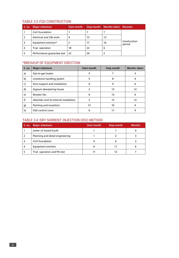#### TABLE 3.3: FGD CONSTRUCTION

| S. no. | <b>Major milestone</b>     | <b>Start month</b> |    | Stop month   Months taken   Remarks |                        |
|--------|----------------------------|--------------------|----|-------------------------------------|------------------------|
|        | Civil foundation           |                    |    |                                     |                        |
|        | Electrical and C&I work    | 4                  | 15 | 12                                  |                        |
| 3      | Equipment erection*        |                    | 17 | 16                                  | Construction<br>period |
| 4      | Trial operation            | 18                 | 23 | 6                                   |                        |
| 5      | Performance quarantee test | -23                | 24 |                                     |                        |

#### \*BREAKUP OF EQUIPMENT ERECTION

| S. no.       | <b>Major milestone</b>                 | <b>Start month</b> | Stop month | <b>Months taken</b> |
|--------------|----------------------------------------|--------------------|------------|---------------------|
| a)           | Gas-to-gas heater                      | 5                  |            | 3                   |
| b)           | Limestone handling system              | 5                  | 8          | 4                   |
| $\mathsf{c}$ | Duct support and installation          | 4                  | 9          | 6                   |
| d)           | Gypsum dewatering house                | 2                  | 13         | 12                  |
| e)           | Booster fan                            | 6                  | 13         | 6                   |
| f)           | Absorber and its internal installation | 3                  | 15         | 12                  |
| g)           | Painting and insulation                | 13                 | 16         | 4                   |
| h)           | FGD control room                       | 9                  | 17         | 9                   |

#### TABLE 3.4: DRY SORBENT INJECTION (DSI) METHOD

| <b>S. no.</b> | <b>Major milestone</b>          | <b>Start month</b> | Stop month | <b>Months</b> |
|---------------|---------------------------------|--------------------|------------|---------------|
|               | Letter of Award (LoA)           |                    |            |               |
|               | Planning and detail engineering |                    |            |               |
|               | Civil foundation                |                    |            |               |
|               | Equipment erection              |                    |            |               |
|               | Trial operation and PG test     |                    |            |               |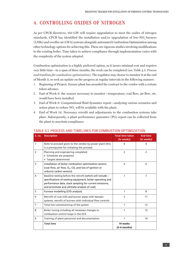# 4. CONTROLLING OXIDES OF NITROGEN

As per CPCB directives, 163 GW will require upgradation to meet the oxides of nitrogen standards. CPCB has identified the installation and/or upgradation of low-NO<sub>x</sub> burners (LNBs) and overfire air (OFA) systems alongside automated Combustion Optimization among other technology options for achieving this. These are rigorous studies involving modifications to the existing boiler. Time taken to achieve compliance through implementation varies with the complexity of the system adopted.

Combustion optimization is a highly preferred option, as it incurs minimal cost and requires very little time—in a span of three months, the work can be completed (see *Table 4.1: Process and timelines for combustion optimization)*. The regulator may choose to monitor it at the end of Month 3, or seek an update on the progress at regular intervals in the following manner:

- 1. Beginning of Project: Ensure plant has awarded the contract to the vendor with a certain token advance.
- 2. End of Week 6: the sensors necessary to monitor—temperature, coal flow, air flow, etc. would have been installed.
- 3. End of Week 8: Computational fluid dynamics report—analysing various scenarios and action plans to reduce  $\mathrm{NO}_{\mathrm{x}}$  will be available with the plant.
- 4. End of Week 12: Necessary retrofit and adjustments to the combustion systems take place. Subsequently, a plant performance guarantee (PG) report can be collected from the plant to ascertain compliance.

| S. no.         | <b>Description</b>                                                                                                                                                                                                                  | <b>Total time taken</b><br>(in weeks) | <b>End time</b><br>(in weeks) |
|----------------|-------------------------------------------------------------------------------------------------------------------------------------------------------------------------------------------------------------------------------------|---------------------------------------|-------------------------------|
| 1              | Note to proceed given to the vendor by power plant (this<br>is a prerequisite for initiating the process)                                                                                                                           | $\Omega$                              | $\mathbf{0}$                  |
| $\overline{2}$ | Planning and engineering completed<br>• Schedules are prepared<br>• Targets determined                                                                                                                                              | $\overline{2}$                        | 2                             |
| 3              | Installation of boiler combustion optimization sensors<br>(coal flow, air flow, $O2$ , CO, and loss of ignition or<br>unburnt carbon sensors)                                                                                       | 4                                     | 6                             |
| 4              | Baseline testing before the retrofit (which will include -<br>specifications of existing equipment, boiler operating and<br>performance data, stack sampling for current emissions,<br>and proximate and ultimate analysis of coal) | 1                                     | 7                             |
| 5              | Furnace modelling (CFD analysis)                                                                                                                                                                                                    | 1                                     | 8                             |
| 6              | Retrofit of coal mills and burner pipes with damper<br>systems, retrofit of burners with individual flow controls                                                                                                                   | 3                                     | 11                            |
| $\overline{7}$ | Total hot commissioning of the system                                                                                                                                                                                               | 1                                     | 12                            |
| 8              | Boiler tuning including all necessary changes to<br>combustion control loops in the DCS                                                                                                                                             | 1                                     | 13                            |
| 9              | Training of plant personnel and documentation                                                                                                                                                                                       | 1                                     | 14                            |
|                | <b>Total time</b>                                                                                                                                                                                                                   | 14 weeks<br>$(3-4$ months)            |                               |

#### TABLE 4.1: PROCESS AND TIMELINES FOR COMBUSTION OPTIMIZATION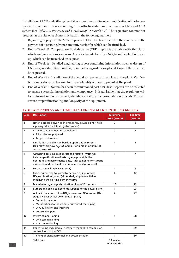Installation of LNB and OFA system takes more time as it involves modification of the burner system. In general it takes about eight months to install and commission LNB and OFA system (see *Table 4.2: Processes and Timelines of LNB and OFA*). The regulators can monitor progress at the site on a bi-monthly basis in the following manner:

- 1. Beginning of project: The 'note to proceed' letter has been issued to the vendor with the payment of a certain advance amount, receipt for which can be furnished.
- 2. End of Week 6: Computation fluid dynamic (CFD) report is available with the plant, which analyses various scenarios. A work schedule to reduce  $\mathrm{NO}_{\mathrm{x}}$  from the plant is drawn up, which can be furnished on request.
- 3. End of Week 12: Detailed engineering report containing information such as design of LNBs is generated. Based on this, manufacturing orders are placed. Copy of the order can be requested.
- 4. End of Week 24: Installation of the actual components takes place at the plant. Verification can be done by checking for the availability of the equipment at the plant.
- 5. End of Week 30: System has been commissioned post a PG test. Reports can be collected to ensure successful installation and compliance. It is advisable that the regulators collect information on the capacity-building efforts by the power station officials. This will ensure proper functioning and longevity of the equipment.

| S. no.         | <b>Description</b>                                                                                                                                                                                                                                            | <b>Total time</b><br>taken (weeks) | <b>End time</b><br>(weeks) |
|----------------|---------------------------------------------------------------------------------------------------------------------------------------------------------------------------------------------------------------------------------------------------------------|------------------------------------|----------------------------|
| $\mathbf{1}$   | Note to proceed given to the vendor by power plant (this is<br>a prerequisite for initiating the process)                                                                                                                                                     | 0                                  | $\mathbf{0}$               |
| $\overline{2}$ | Planning and engineering completed<br>• Schedules are prepared<br>• Targets determined                                                                                                                                                                        | $\overline{2}$                     | $\overline{2}$             |
| 3              | Installation of boiler combustion optimization sensors<br>(coal flow, air flow, O <sub>2</sub> , CO, and loss of ignition or unburnt<br>carbon sensors)                                                                                                       | 4                                  | 6                          |
| 4              | Gathering baseline data before the retrofit (which will<br>include specifications of existing equipment, boiler<br>operating and performance data, stack sampling for current<br>emissions, and proximate and ultimate analysis of coal)                      | 1                                  | $\overline{7}$             |
| 5              | Furnace modelling (CFD analysis)                                                                                                                                                                                                                              | 1                                  | 8                          |
| 6              | Basic engineering followed by detailed design of low-<br>NO <sub>v</sub> combustion system (either designing a new LNB or<br>modifying the existing burner system)                                                                                            | 4                                  | 12                         |
| $\overline{7}$ | Manufacturing and prefabrication of low-NO <sub>v</sub> burners                                                                                                                                                                                               | 10                                 | 22                         |
| 8              | Burners and allied components supplied to the power plant                                                                                                                                                                                                     | 1                                  | 23                         |
| 9              | Actual installation of low-NO <sub>x</sub> burners and OFA system (This<br>stage involves actual down time of plant)<br>• Burner installation<br>• Modifications to the existing pulverized coal piping<br>• OFA duct work and injectors<br>• Control dampers | 4                                  | 27                         |
| 10             | System commissioning<br>• Cold commissioning<br>• Hot commissioning                                                                                                                                                                                           | 1                                  | 28                         |
| 11             | Boiler tuning including all necessary changes to combustion<br>control loops in the DCS                                                                                                                                                                       | 1                                  | 29                         |
| 12             | Training of plant personnel and documentation                                                                                                                                                                                                                 | 1                                  | 30                         |
|                | <b>Total time</b>                                                                                                                                                                                                                                             | 30 weeks<br>(6-8 months)           |                            |

#### TABLE 4.2: PROCESS AND TIMELINES FOR INSTALLATION OF LNB AND OFA